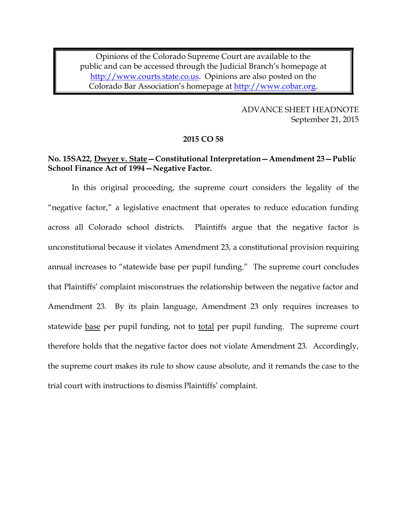1 Opinions of the Colorado Supreme Court are available to the 2 public and can be accessed through the Judicial Branch's homepage at [http://www.courts.state.co.us.](http://www.courts.state.co.us/) Opinions are also posted on the Colorado Bar Association's homepage at [http://www.cobar.org.](http://www.cobar.org/)

> 6 ADVANCE SHEET HEADNOTE September 21, 2015

#### 9 **2015 CO 58**

## 11 **No. 15SA22, Dwyer v. State—Constitutional Interpretation—Amendment 23—Public**  12 **School Finance Act of 1994—Negative Factor.**

In this original proceeding, the supreme court considers the legality of the "negative factor," a legislative enactment that operates to reduce education funding across all Colorado school districts. Plaintiffs argue that the negative factor is 17 unconstitutional because it violates Amendment 23, a constitutional provision requiring annual increases to "statewide base per pupil funding." The supreme court concludes that Plaintiffs' complaint misconstrues the relationship between the negative factor and Amendment 23. By its plain language, Amendment 23 only requires increases to statewide base per pupil funding, not to total per pupil funding. The supreme court therefore holds that the negative factor does not violate Amendment 23. Accordingly, the supreme court makes its rule to show cause absolute, and it remands the case to the 24 trial court with instructions to dismiss Plaintiffs' complaint.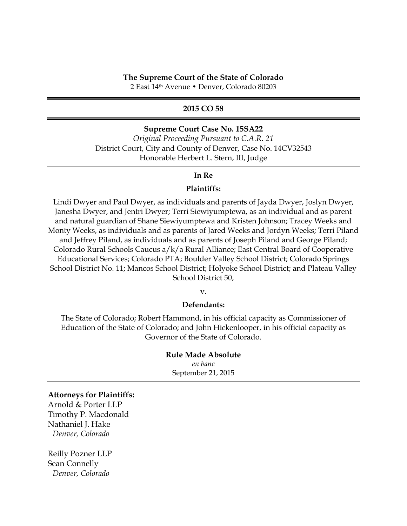### 5 **2015 CO 58**

### 6 **Supreme Court Case No. 15SA22**

7 *Original Proceeding Pursuant to C.A.R. 21* 8 District Court, City and County of Denver, Case No. 14CV32543 9 Honorable Herbert L. Stern, III, Judge

#### 10 **In Re**

### Plaintiffs:

Lindi Dwyer and Paul Dwyer, as individuals and parents of Jayda Dwyer, Joslyn Dwyer, Janesha Dwyer, and Jentri Dwyer; Terri Siewiyumptewa, as an individual and as parent and natural guardian of Shane Siewiyumptewa and Kristen Johnson; Tracey Weeks and 15 Monty Weeks, as individuals and as parents of Jared Weeks and Jordyn Weeks; Terri Piland and Jeffrey Piland, as individuals and as parents of Joseph Piland and George Piland; Colorado Rural Schools Caucus  $a/k/a$  Rural Alliance; East Central Board of Cooperative 18 Educational Services; Colorado PTA; Boulder Valley School District; Colorado Springs 19 School District No. 11; Mancos School District; Holyoke School District; and Plateau Valley School District 50,

 $V.$ 

#### Defendants:

The State of Colorado; Robert Hammond, in his official capacity as Commissioner of Education of the State of Colorado; and John Hickenlooper, in his official capacity as Governor of the State of Colorado.

### 26 **Rule Made Absolute** 27 *en banc*

September 21, 2015

#### 29 **Attorneys for Plaintiffs:**

Arnold & Porter LLP Timothy P. Macdonald Nathaniel J. Hake 33 *Denver, Colorado*

Reilly Pozner LLP Sean Connelly 37 *Denver, Colorado*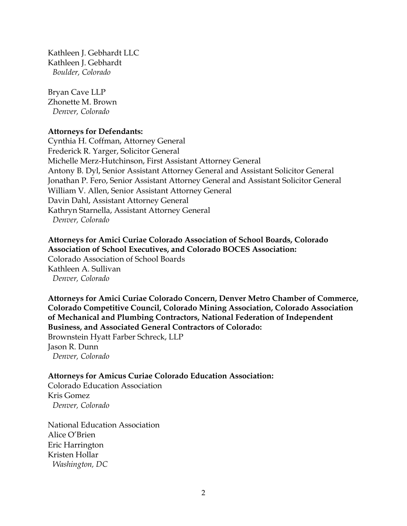Kathleen J. Gebhardt LLC Kathleen J. Gebhardt *Boulder, Colorado*

 Bryan Cave LLP Zhonette M. Brown *Denver, Colorado*

## **Attorneys for Defendants:**

Cynthia H. Coffman, Attorney General Frederick R. Yarger, Solicitor General Michelle Merz-Hutchinson, First Assistant Attorney General Antony B. Dyl, Senior Assistant Attorney General and Assistant Solicitor General Jonathan P. Fero, Senior Assistant Attorney General and Assistant Solicitor General William V. Allen, Senior Assistant Attorney General Davin Dahl, Assistant Attorney General Kathryn Starnella, Assistant Attorney General *Denver, Colorado*

 **Attorneys for Amici Curiae Colorado Association of School Boards, Colorado Association of School Executives, and Colorado BOCES Association:** Colorado Association of School Boards Kathleen A. Sullivan *Denver, Colorado*

 **Attorneys for Amici Curiae Colorado Concern, Denver Metro Chamber of Commerce, Colorado Competitive Council, Colorado Mining Association, Colorado Association of Mechanical and Plumbing Contractors, National Federation of Independent Business, and Associated General Contractors of Colorado:** Brownstein Hyatt Farber Schreck, LLP Jason R. Dunn *Denver, Colorado*

# **Attorneys for Amicus Curiae Colorado Education Association:**

 Colorado Education Association Kris Gomez *Denver, Colorado*

National Education Association Alice O'Brien Eric Harrington Kristen Hollar *Washington, DC*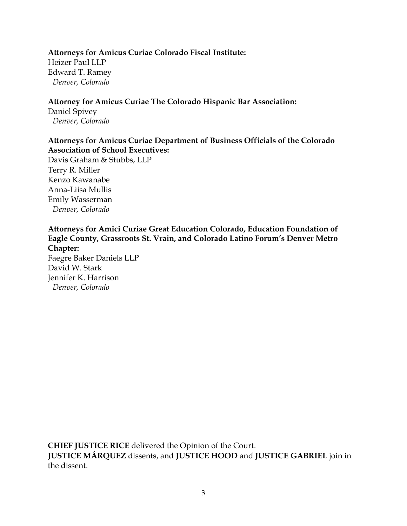## 1 **Attorneys for Amicus Curiae Colorado Fiscal Institute:**

2 Heizer Paul LLP Edward T. Ramey 4 *Denver, Colorado*

## 6 **Attorney for Amicus Curiae The Colorado Hispanic Bar Association:**

Daniel Spivey 8 *Denver, Colorado*

# 10 **Attorneys for Amicus Curiae Department of Business Officials of the Colorado**  11 **Association of School Executives:**

Davis Graham & Stubbs, LLP Terry R. Miller Kenzo Kawanabe 15 Anna-Liisa Mullis Emily Wasserman 17 *Denver, Colorado*

# 19 **Attorneys for Amici Curiae Great Education Colorado, Education Foundation of**  20 **Eagle County, Grassroots St. Vrain, and Colorado Latino Forum's Denver Metro Chapter:**

Faegre Baker Daniels LLP David W. Stark Jennifer K. Harrison 25 *Denver, Colorado*

**CHIEF JUSTICE RICE** delivered the Opinion of the Court. 42 **JUSTICE MÁRQUEZ** dissents, and **JUSTICE HOOD** and **JUSTICE GABRIEL** join in the dissent.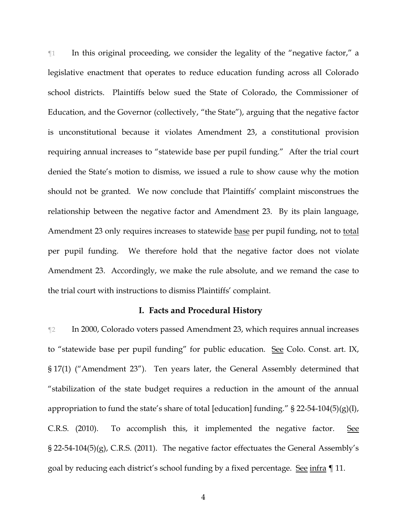¶1 In this original proceeding, we consider the legality of the "negative factor," a legislative enactment that operates to reduce education funding across all Colorado school districts. Plaintiffs below sued the State of Colorado, the Commissioner of Education, and the Governor (collectively, "the State"), arguing that the negative factor is unconstitutional because it violates Amendment 23, a constitutional provision requiring annual increases to "statewide base per pupil funding." After the trial court denied the State's motion to dismiss, we issued a rule to show cause why the motion should not be granted. We now conclude that Plaintiffs' complaint misconstrues the relationship between the negative factor and Amendment 23. By its plain language, Amendment 23 only requires increases to statewide base per pupil funding, not to total per pupil funding. We therefore hold that the negative factor does not violate Amendment 23. Accordingly, we make the rule absolute, and we remand the case to the trial court with instructions to dismiss Plaintiffs' complaint.

### **I. Facts and Procedural History**

¶2 In 2000, Colorado voters passed Amendment 23, which requires annual increases to "statewide base per pupil funding" for public education. See Colo. Const. art. IX, § 17(1) ("Amendment 23"). Ten years later, the General Assembly determined that "stabilization of the state budget requires a reduction in the amount of the annual appropriation to fund the state's share of total [education] funding."  $\S$  22-54-104(5)(g)(I), C.R.S. (2010). To accomplish this, it implemented the negative factor. See § 22-54-104(5)(g), C.R.S. (2011). The negative factor effectuates the General Assembly's goal by reducing each district's school funding by a fixed percentage. See infra ¶ 11.

4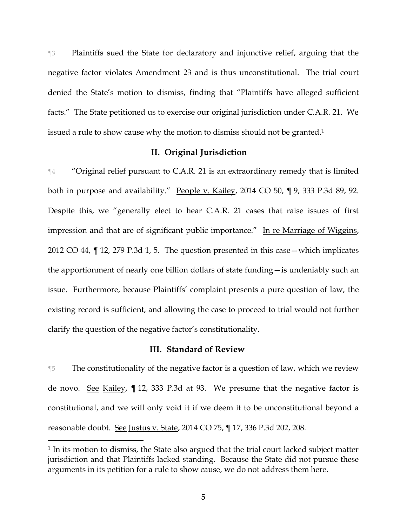¶3 Plaintiffs sued the State for declaratory and injunctive relief, arguing that the negative factor violates Amendment 23 and is thus unconstitutional. The trial court denied the State's motion to dismiss, finding that "Plaintiffs have alleged sufficient facts." The State petitioned us to exercise our original jurisdiction under C.A.R. 21. We issued a rule to show cause why the motion to dismiss should not be granted.<sup>1</sup>

## **II. Original Jurisdiction**

¶4 "Original relief pursuant to C.A.R. 21 is an extraordinary remedy that is limited both in purpose and availability." People v. Kailey, 2014 CO 50, ¶ 9, 333 P.3d 89, 92. Despite this, we "generally elect to hear C.A.R. 21 cases that raise issues of first impression and that are of significant public importance." In re Marriage of Wiggins, 2012 CO 44, ¶ 12, 279 P.3d 1, 5. The question presented in this case—which implicates the apportionment of nearly one billion dollars of state funding—is undeniably such an issue. Furthermore, because Plaintiffs' complaint presents a pure question of law, the existing record is sufficient, and allowing the case to proceed to trial would not further clarify the question of the negative factor's constitutionality.

## **III. Standard of Review**

¶5 The constitutionality of the negative factor is a question of law, which we review de novo. See Kailey, ¶ 12, 333 P.3d at 93. We presume that the negative factor is constitutional, and we will only void it if we deem it to be unconstitutional beyond a reasonable doubt. See Justus v. State, 2014 CO 75, ¶ 17, 336 P.3d 202, 208.

<sup>&</sup>lt;sup>1</sup> In its motion to dismiss, the State also argued that the trial court lacked subject matter jurisdiction and that Plaintiffs lacked standing. Because the State did not pursue these arguments in its petition for a rule to show cause, we do not address them here.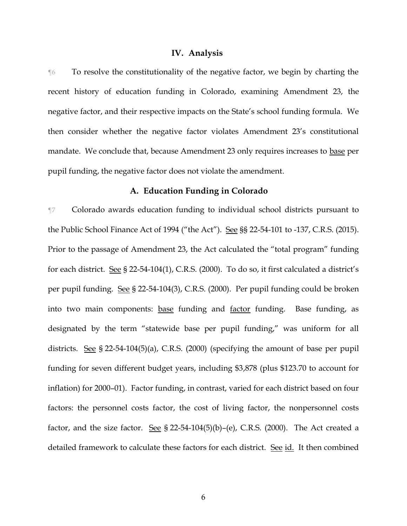#### **IV. Analysis**

¶6 To resolve the constitutionality of the negative factor, we begin by charting the recent history of education funding in Colorado, examining Amendment 23, the negative factor, and their respective impacts on the State's school funding formula. We then consider whether the negative factor violates Amendment 23's constitutional mandate. We conclude that, because Amendment 23 only requires increases to base per pupil funding, the negative factor does not violate the amendment.

## **A. Education Funding in Colorado**

¶7 Colorado awards education funding to individual school districts pursuant to the Public School Finance Act of 1994 ("the Act"). See §§ 22-54-101 to -137, C.R.S. (2015). Prior to the passage of Amendment 23, the Act calculated the "total program" funding for each district. See § 22-54-104(1), C.R.S. (2000). To do so, it first calculated a district's per pupil funding. See § 22-54-104(3), C.R.S. (2000). Per pupil funding could be broken into two main components: base funding and factor funding. Base funding, as designated by the term "statewide base per pupil funding," was uniform for all districts. See § 22-54-104(5)(a), C.R.S. (2000) (specifying the amount of base per pupil funding for seven different budget years, including \$3,878 (plus \$123.70 to account for inflation) for 2000–01). Factor funding, in contrast, varied for each district based on four factors: the personnel costs factor, the cost of living factor, the nonpersonnel costs factor, and the size factor. See § 22-54-104(5)(b)-(e), C.R.S. (2000). The Act created a detailed framework to calculate these factors for each district. See id. It then combined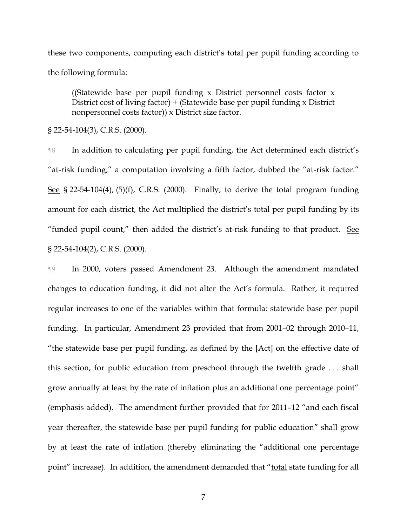these two components, computing each district's total per pupil funding according to the following formula:

((Statewide base per pupil funding x District personnel costs factor x District cost of living factor)  $+$  (Statewide base per pupil funding x District nonpersonnel costs factor)) x District size factor.

§ 22-54-104(3), C.R.S. (2000).

¶8 In addition to calculating per pupil funding, the Act determined each district's "at-risk funding," a computation involving a fifth factor, dubbed the "at-risk factor." See § 22-54-104(4), (5)(f), C.R.S. (2000). Finally, to derive the total program funding amount for each district, the Act multiplied the district's total per pupil funding by its "funded pupil count," then added the district's at-risk funding to that product. See § 22-54-104(2), C.R.S. (2000).

¶9 In 2000, voters passed Amendment 23. Although the amendment mandated changes to education funding, it did not alter the Act's formula. Rather, it required regular increases to one of the variables within that formula: statewide base per pupil funding. In particular, Amendment 23 provided that from 2001–02 through 2010–11, "the statewide base per pupil funding, as defined by the [Act] on the effective date of this section, for public education from preschool through the twelfth grade . . . shall grow annually at least by the rate of inflation plus an additional one percentage point" (emphasis added). The amendment further provided that for 2011–12 "and each fiscal year thereafter, the statewide base per pupil funding for public education" shall grow by at least the rate of inflation (thereby eliminating the "additional one percentage point" increase). In addition, the amendment demanded that "total state funding for all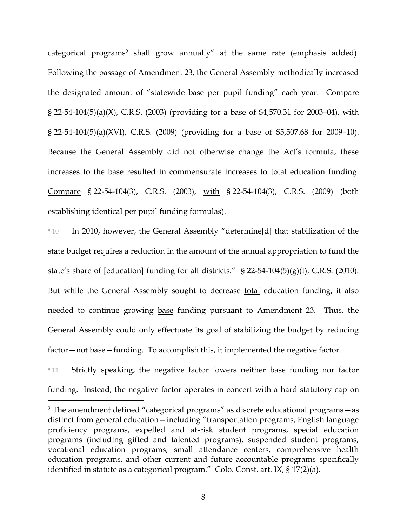categorical programs<sup>2</sup> shall grow annually" at the same rate (emphasis added). Following the passage of Amendment 23, the General Assembly methodically increased the designated amount of "statewide base per pupil funding" each year. Compare § 22-54-104(5)(a)(X), C.R.S. (2003) (providing for a base of \$4,570.31 for 2003-04), with § 22-54-104(5)(a)(XVI), C.R.S. (2009) (providing for a base of \$5,507.68 for 2009–10). Because the General Assembly did not otherwise change the Act's formula, these increases to the base resulted in commensurate increases to total education funding. Compare § 22-54-104(3), C.R.S. (2003), with § 22-54-104(3), C.R.S. (2009) (both establishing identical per pupil funding formulas).

¶10 In 2010, however, the General Assembly "determine[d] that stabilization of the state budget requires a reduction in the amount of the annual appropriation to fund the state's share of [education] funding for all districts." § 22-54-104(5)(g)(I), C.R.S. (2010). But while the General Assembly sought to decrease total education funding, it also needed to continue growing base funding pursuant to Amendment 23. Thus, the General Assembly could only effectuate its goal of stabilizing the budget by reducing factor – not base – funding. To accomplish this, it implemented the negative factor.

¶11 Strictly speaking, the negative factor lowers neither base funding nor factor funding. Instead, the negative factor operates in concert with a hard statutory cap on

 $\overline{a}$ 

8

<sup>2</sup> The amendment defined "categorical programs" as discrete educational programs—as distinct from general education—including "transportation programs, English language proficiency programs, expelled and at-risk student programs, special education programs (including gifted and talented programs), suspended student programs, vocational education programs, small attendance centers, comprehensive health education programs, and other current and future accountable programs specifically identified in statute as a categorical program." Colo. Const. art. IX, § 17(2)(a).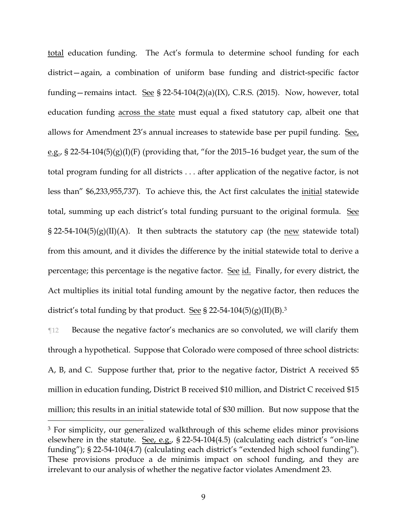total education funding. The Act's formula to determine school funding for each district—again, a combination of uniform base funding and district-specific factor funding—remains intact. See § 22-54-104(2)(a)(IX), C.R.S. (2015). Now, however, total education funding across the state must equal a fixed statutory cap, albeit one that allows for Amendment 23's annual increases to statewide base per pupil funding. See, e.g., § 22-54-104(5)(g)(I)(F) (providing that, "for the 2015-16 budget year, the sum of the total program funding for all districts . . . after application of the negative factor, is not less than" \$6,233,955,737). To achieve this, the Act first calculates the initial statewide total, summing up each district's total funding pursuant to the original formula. See  $\S 22-54-104(5)(g)(II)(A)$ . It then subtracts the statutory cap (the new statewide total) from this amount, and it divides the difference by the initial statewide total to derive a percentage; this percentage is the negative factor. See id. Finally, for every district, the Act multiplies its initial total funding amount by the negative factor, then reduces the district's total funding by that product. See § 22-54-104(5)(g)(II)(B).<sup>3</sup>

¶12 Because the negative factor's mechanics are so convoluted, we will clarify them through a hypothetical. Suppose that Colorado were composed of three school districts: A, B, and C. Suppose further that, prior to the negative factor, District A received \$5 million in education funding, District B received \$10 million, and District C received \$15 million; this results in an initial statewide total of \$30 million. But now suppose that the

<sup>3</sup> For simplicity, our generalized walkthrough of this scheme elides minor provisions elsewhere in the statute. See, e.g., § 22-54-104(4.5) (calculating each district's "on-line funding"); § 22-54-104(4.7) (calculating each district's "extended high school funding"). These provisions produce a de minimis impact on school funding, and they are irrelevant to our analysis of whether the negative factor violates Amendment 23.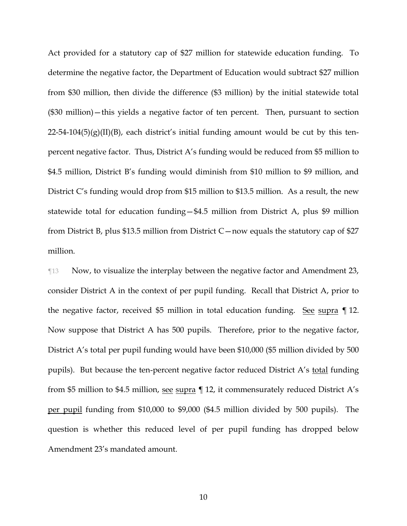Act provided for a statutory cap of \$27 million for statewide education funding. To determine the negative factor, the Department of Education would subtract \$27 million from \$30 million, then divide the difference (\$3 million) by the initial statewide total (\$30 million)—this yields a negative factor of ten percent. Then, pursuant to section  $22-54-104(5)(g)(II)(B)$ , each district's initial funding amount would be cut by this tenpercent negative factor. Thus, District A's funding would be reduced from \$5 million to \$4.5 million, District B's funding would diminish from \$10 million to \$9 million, and District C's funding would drop from \$15 million to \$13.5 million. As a result, the new statewide total for education funding—\$4.5 million from District A, plus \$9 million from District B, plus \$13.5 million from District C—now equals the statutory cap of \$27 million.

¶13 Now, to visualize the interplay between the negative factor and Amendment 23, consider District A in the context of per pupil funding. Recall that District A, prior to the negative factor, received \$5 million in total education funding. See supra ¶ 12. Now suppose that District A has 500 pupils. Therefore, prior to the negative factor, District A's total per pupil funding would have been \$10,000 (\$5 million divided by 500 pupils). But because the ten-percent negative factor reduced District A's total funding from \$5 million to \$4.5 million, see supra ¶ 12, it commensurately reduced District A's per pupil funding from \$10,000 to \$9,000 (\$4.5 million divided by 500 pupils). The question is whether this reduced level of per pupil funding has dropped below Amendment 23's mandated amount.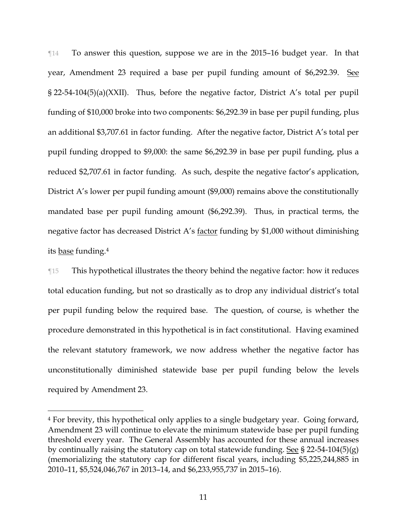¶14 To answer this question, suppose we are in the 2015–16 budget year. In that year, Amendment 23 required a base per pupil funding amount of \$6,292.39. See § 22-54-104(5)(a)(XXII). Thus, before the negative factor, District A's total per pupil funding of \$10,000 broke into two components: \$6,292.39 in base per pupil funding, plus an additional \$3,707.61 in factor funding. After the negative factor, District A's total per pupil funding dropped to \$9,000: the same \$6,292.39 in base per pupil funding, plus a reduced \$2,707.61 in factor funding. As such, despite the negative factor's application, District A's lower per pupil funding amount (\$9,000) remains above the constitutionally mandated base per pupil funding amount (\$6,292.39). Thus, in practical terms, the negative factor has decreased District A's factor funding by \$1,000 without diminishing its base funding.<sup>4</sup>

¶15 This hypothetical illustrates the theory behind the negative factor: how it reduces total education funding, but not so drastically as to drop any individual district's total per pupil funding below the required base. The question, of course, is whether the procedure demonstrated in this hypothetical is in fact constitutional. Having examined the relevant statutory framework, we now address whether the negative factor has unconstitutionally diminished statewide base per pupil funding below the levels required by Amendment 23.

<sup>4</sup> For brevity, this hypothetical only applies to a single budgetary year. Going forward, Amendment 23 will continue to elevate the minimum statewide base per pupil funding threshold every year. The General Assembly has accounted for these annual increases by continually raising the statutory cap on total statewide funding. See § 22-54-104(5)(g) (memorializing the statutory cap for different fiscal years, including \$5,225,244,885 in 2010–11, \$5,524,046,767 in 2013–14, and \$6,233,955,737 in 2015–16).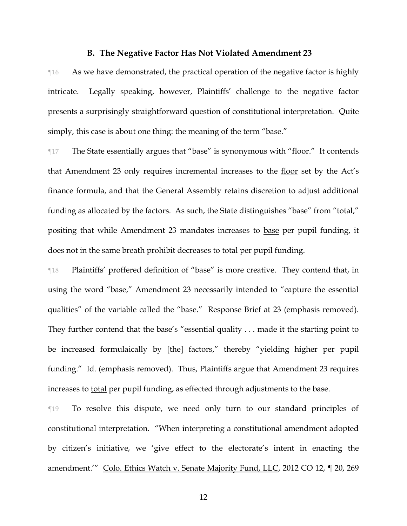### **B. The Negative Factor Has Not Violated Amendment 23**

 $\mathbb{I}^{16}$  As we have demonstrated, the practical operation of the negative factor is highly intricate. Legally speaking, however, Plaintiffs' challenge to the negative factor presents a surprisingly straightforward question of constitutional interpretation. Quite simply, this case is about one thing: the meaning of the term "base."

¶17 The State essentially argues that "base" is synonymous with "floor." It contends that Amendment 23 only requires incremental increases to the floor set by the Act's finance formula, and that the General Assembly retains discretion to adjust additional funding as allocated by the factors. As such, the State distinguishes "base" from "total," positing that while Amendment 23 mandates increases to base per pupil funding, it does not in the same breath prohibit decreases to total per pupil funding.

¶18 Plaintiffs' proffered definition of "base" is more creative. They contend that, in using the word "base," Amendment 23 necessarily intended to "capture the essential qualities" of the variable called the "base." Response Brief at 23 (emphasis removed). They further contend that the base's "essential quality . . . made it the starting point to be increased formulaically by [the] factors," thereby "yielding higher per pupil funding." Id. (emphasis removed). Thus, Plaintiffs argue that Amendment 23 requires increases to total per pupil funding, as effected through adjustments to the base.

¶19 To resolve this dispute, we need only turn to our standard principles of constitutional interpretation. "When interpreting a constitutional amendment adopted by citizen's initiative, we 'give effect to the electorate's intent in enacting the amendment.'" Colo. Ethics Watch v. Senate Majority Fund, LLC, 2012 CO 12, ¶ 20, 269

12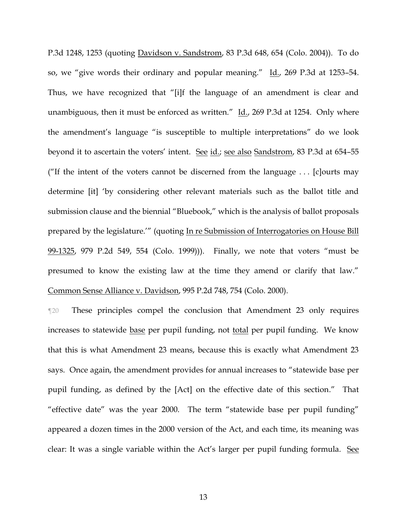P.3d 1248, 1253 (quoting Davidson v. Sandstrom, 83 P.3d 648, 654 (Colo. 2004)). To do so, we "give words their ordinary and popular meaning." Id., 269 P.3d at 1253–54. Thus, we have recognized that "[i]f the language of an amendment is clear and unambiguous, then it must be enforced as written."  $\text{Id.}$ , 269 P.3d at 1254. Only where the amendment's language "is susceptible to multiple interpretations" do we look beyond it to ascertain the voters' intent. See id.; see also Sandstrom, 83 P.3d at 654-55 ("If the intent of the voters cannot be discerned from the language  $\dots$  [c]ourts may determine [it] 'by considering other relevant materials such as the ballot title and submission clause and the biennial "Bluebook," which is the analysis of ballot proposals prepared by the legislature.'" (quoting In re Submission of Interrogatories on House Bill 99-1325, 979 P.2d 549, 554 (Colo. 1999))). Finally, we note that voters "must be presumed to know the existing law at the time they amend or clarify that law." Common Sense Alliance v. Davidson, 995 P.2d 748, 754 (Colo. 2000).

¶20 These principles compel the conclusion that Amendment 23 only requires increases to statewide base per pupil funding, not total per pupil funding. We know that this is what Amendment 23 means, because this is exactly what Amendment 23 says. Once again, the amendment provides for annual increases to "statewide base per pupil funding, as defined by the [Act] on the effective date of this section." That "effective date" was the year 2000. The term "statewide base per pupil funding" appeared a dozen times in the 2000 version of the Act, and each time, its meaning was clear: It was a single variable within the Act's larger per pupil funding formula. See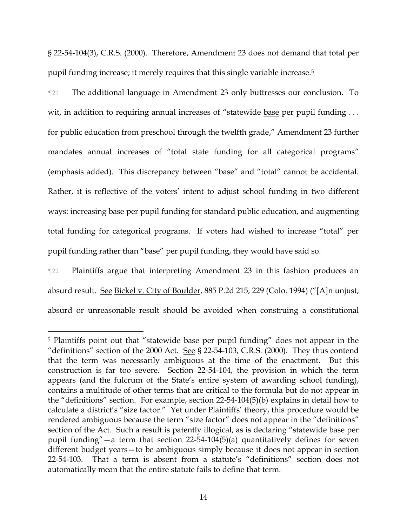§ 22-54-104(3), C.R.S. (2000). Therefore, Amendment 23 does not demand that total per pupil funding increase; it merely requires that this single variable increase.<sup>5</sup>

¶21 The additional language in Amendment 23 only buttresses our conclusion. To wit, in addition to requiring annual increases of "statewide base per pupil funding ... for public education from preschool through the twelfth grade," Amendment 23 further mandates annual increases of "total state funding for all categorical programs" (emphasis added). This discrepancy between "base" and "total" cannot be accidental. Rather, it is reflective of the voters' intent to adjust school funding in two different ways: increasing base per pupil funding for standard public education, and augmenting total funding for categorical programs. If voters had wished to increase "total" per pupil funding rather than "base" per pupil funding, they would have said so.

¶22 Plaintiffs argue that interpreting Amendment 23 in this fashion produces an absurd result. See Bickel v. City of Boulder, 885 P.2d 215, 229 (Colo. 1994) ("[A]n unjust, absurd or unreasonable result should be avoided when construing a constitutional

<sup>5</sup> Plaintiffs point out that "statewide base per pupil funding" does not appear in the "definitions" section of the 2000 Act. See § 22-54-103, C.R.S. (2000). They thus contend that the term was necessarily ambiguous at the time of the enactment. But this construction is far too severe. Section 22-54-104, the provision in which the term appears (and the fulcrum of the State's entire system of awarding school funding), contains a multitude of other terms that are critical to the formula but do not appear in the "definitions" section. For example, section 22-54-104(5)(b) explains in detail how to calculate a district's "size factor." Yet under Plaintiffs' theory, this procedure would be rendered ambiguous because the term "size factor" does not appear in the "definitions" section of the Act. Such a result is patently illogical, as is declaring "statewide base per pupil funding"—a term that section 22-54-104(5)(a) quantitatively defines for seven different budget years—to be ambiguous simply because it does not appear in section 22-54-103. That a term is absent from a statute's "definitions" section does not automatically mean that the entire statute fails to define that term.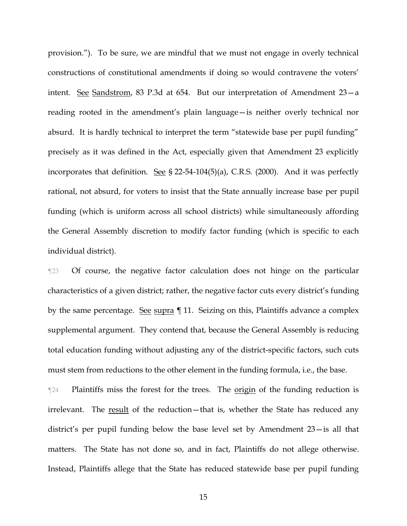provision."). To be sure, we are mindful that we must not engage in overly technical constructions of constitutional amendments if doing so would contravene the voters' intent. See Sandstrom, 83 P.3d at 654. But our interpretation of Amendment 23—a reading rooted in the amendment's plain language—is neither overly technical nor absurd. It is hardly technical to interpret the term "statewide base per pupil funding" precisely as it was defined in the Act, especially given that Amendment 23 explicitly incorporates that definition. See § 22-54-104(5)(a), C.R.S. (2000). And it was perfectly rational, not absurd, for voters to insist that the State annually increase base per pupil funding (which is uniform across all school districts) while simultaneously affording the General Assembly discretion to modify factor funding (which is specific to each individual district).

¶23 Of course, the negative factor calculation does not hinge on the particular characteristics of a given district; rather, the negative factor cuts every district's funding by the same percentage. See supra  $\P$  11. Seizing on this, Plaintiffs advance a complex supplemental argument. They contend that, because the General Assembly is reducing total education funding without adjusting any of the district-specific factors, such cuts must stem from reductions to the other element in the funding formula, i.e., the base.

The Plaintiffs miss the forest for the trees. The <u>origin</u> of the funding reduction is irrelevant. The result of the reduction—that is, whether the State has reduced any district's per pupil funding below the base level set by Amendment 23—is all that matters. The State has not done so, and in fact, Plaintiffs do not allege otherwise. Instead, Plaintiffs allege that the State has reduced statewide base per pupil funding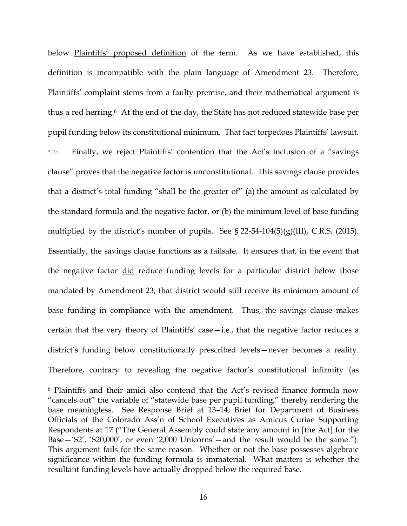below Plaintiffs' proposed definition of the term. As we have established, this definition is incompatible with the plain language of Amendment 23. Therefore, Plaintiffs' complaint stems from a faulty premise, and their mathematical argument is thus a red herring. <sup>6</sup> At the end of the day, the State has not reduced statewide base per pupil funding below its constitutional minimum. That fact torpedoes Plaintiffs' lawsuit. ¶25 Finally, we reject Plaintiffs' contention that the Act's inclusion of a "savings clause" proves that the negative factor is unconstitutional. This savings clause provides that a district's total funding "shall be the greater of" (a) the amount as calculated by the standard formula and the negative factor, or (b) the minimum level of base funding multiplied by the district's number of pupils. See § 22-54-104(5)(g)(III), C.R.S. (2015). Essentially, the savings clause functions as a failsafe. It ensures that, in the event that the negative factor did reduce funding levels for a particular district below those mandated by Amendment 23, that district would still receive its minimum amount of base funding in compliance with the amendment. Thus, the savings clause makes certain that the very theory of Plaintiffs' case—i.e., that the negative factor reduces a district's funding below constitutionally prescribed levels—never becomes a reality. Therefore, contrary to revealing the negative factor's constitutional infirmity (as

<sup>6</sup> Plaintiffs and their amici also contend that the Act's revised finance formula now "cancels out" the variable of "statewide base per pupil funding," thereby rendering the base meaningless. See Response Brief at 13–14; Brief for Department of Business Officials of the Colorado Ass'n of School Executives as Amicus Curiae Supporting Respondents at 17 ("The General Assembly could state any amount in [the Act] for the Base—'\$2', '\$20,000', or even '2,000 Unicorns'—and the result would be the same."). This argument fails for the same reason. Whether or not the base possesses algebraic significance within the funding formula is immaterial. What matters is whether the resultant funding levels have actually dropped below the required base.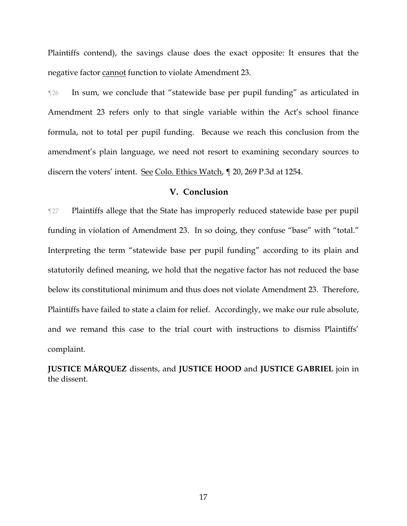Plaintiffs contend), the savings clause does the exact opposite: It ensures that the negative factor cannot function to violate Amendment 23.

¶26 In sum, we conclude that "statewide base per pupil funding" as articulated in Amendment 23 refers only to that single variable within the Act's school finance formula, not to total per pupil funding. Because we reach this conclusion from the amendment's plain language, we need not resort to examining secondary sources to discern the voters' intent. See Colo. Ethics Watch, ¶ 20, 269 P.3d at 1254.

### **V. Conclusion**

¶27 Plaintiffs allege that the State has improperly reduced statewide base per pupil funding in violation of Amendment 23. In so doing, they confuse "base" with "total." Interpreting the term "statewide base per pupil funding" according to its plain and statutorily defined meaning, we hold that the negative factor has not reduced the base below its constitutional minimum and thus does not violate Amendment 23. Therefore, Plaintiffs have failed to state a claim for relief. Accordingly, we make our rule absolute, and we remand this case to the trial court with instructions to dismiss Plaintiffs' complaint.

**JUSTICE MÁRQUEZ** dissents, and **JUSTICE HOOD** and **JUSTICE GABRIEL** join in the dissent.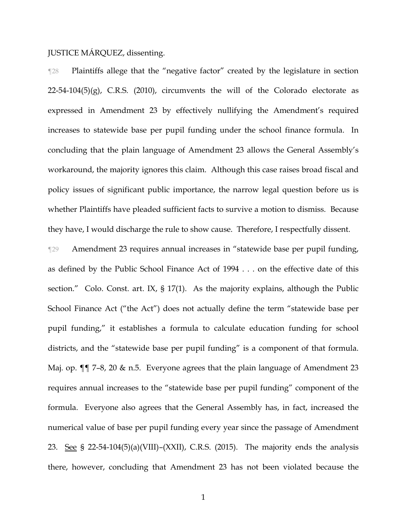## JUSTICE MÁRQUEZ, dissenting.

¶28 Plaintiffs allege that the "negative factor" created by the legislature in section  $22-54-104(5)(g)$ , C.R.S. (2010), circumvents the will of the Colorado electorate as expressed in Amendment 23 by effectively nullifying the Amendment's required increases to statewide base per pupil funding under the school finance formula. In concluding that the plain language of Amendment 23 allows the General Assembly's workaround, the majority ignores this claim. Although this case raises broad fiscal and policy issues of significant public importance, the narrow legal question before us is whether Plaintiffs have pleaded sufficient facts to survive a motion to dismiss. Because they have, I would discharge the rule to show cause. Therefore, I respectfully dissent.

¶29 Amendment 23 requires annual increases in "statewide base per pupil funding, as defined by the Public School Finance Act of 1994 . . . on the effective date of this section." Colo. Const. art. IX, § 17(1). As the majority explains, although the Public School Finance Act ("the Act") does not actually define the term "statewide base per pupil funding," it establishes a formula to calculate education funding for school districts, and the "statewide base per pupil funding" is a component of that formula. Maj. op. ¶¶ 7–8, 20 & n.5. Everyone agrees that the plain language of Amendment 23 requires annual increases to the "statewide base per pupil funding" component of the formula. Everyone also agrees that the General Assembly has, in fact, increased the numerical value of base per pupil funding every year since the passage of Amendment 23. See § 22-54-104(5)(a)(VIII)–(XXII), C.R.S. (2015). The majority ends the analysis there, however, concluding that Amendment 23 has not been violated because the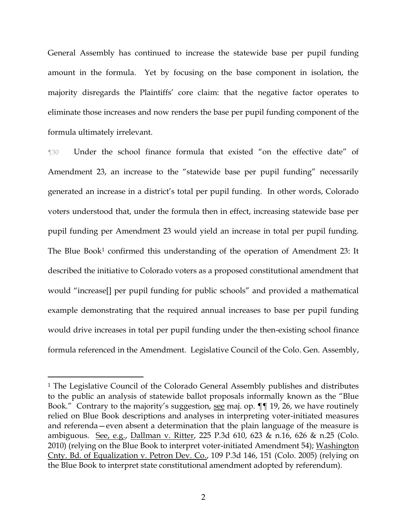General Assembly has continued to increase the statewide base per pupil funding amount in the formula. Yet by focusing on the base component in isolation, the majority disregards the Plaintiffs' core claim: that the negative factor operates to eliminate those increases and now renders the base per pupil funding component of the formula ultimately irrelevant.

¶30 Under the school finance formula that existed "on the effective date" of Amendment 23, an increase to the "statewide base per pupil funding" necessarily generated an increase in a district's total per pupil funding. In other words, Colorado voters understood that, under the formula then in effect, increasing statewide base per pupil funding per Amendment 23 would yield an increase in total per pupil funding. The Blue Book<sup>1</sup> confirmed this understanding of the operation of Amendment 23: It described the initiative to Colorado voters as a proposed constitutional amendment that would "increase[] per pupil funding for public schools" and provided a mathematical example demonstrating that the required annual increases to base per pupil funding would drive increases in total per pupil funding under the then-existing school finance formula referenced in the Amendment. Legislative Council of the Colo. Gen. Assembly,

<sup>1</sup> The Legislative Council of the Colorado General Assembly publishes and distributes to the public an analysis of statewide ballot proposals informally known as the "Blue Book." Contrary to the majority's suggestion, see maj. op. ¶¶ 19, 26, we have routinely relied on Blue Book descriptions and analyses in interpreting voter-initiated measures and referenda—even absent a determination that the plain language of the measure is ambiguous. See, e.g., Dallman v. Ritter, 225 P.3d 610, 623 & n.16, 626 & n.25 (Colo. 2010) (relying on the Blue Book to interpret voter-initiated Amendment 54); Washington Cnty. Bd. of Equalization v. Petron Dev. Co., 109 P.3d 146, 151 (Colo. 2005) (relying on the Blue Book to interpret state constitutional amendment adopted by referendum).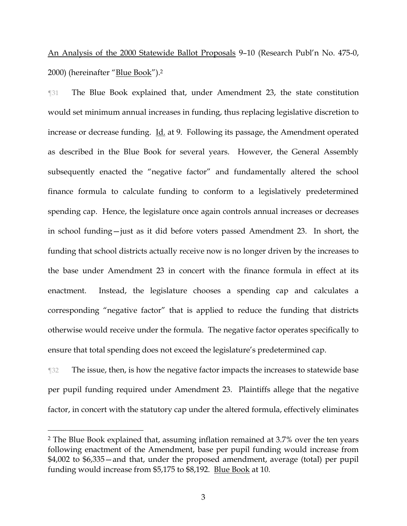An Analysis of the 2000 Statewide Ballot Proposals 9–10 (Research Publ'n No. 475-0, 2000) (hereinafter "<u>Blue Book</u>").<sup>2</sup>

¶31 The Blue Book explained that, under Amendment 23, the state constitution would set minimum annual increases in funding, thus replacing legislative discretion to increase or decrease funding. Id. at 9. Following its passage, the Amendment operated as described in the Blue Book for several years. However, the General Assembly subsequently enacted the "negative factor" and fundamentally altered the school finance formula to calculate funding to conform to a legislatively predetermined spending cap. Hence, the legislature once again controls annual increases or decreases in school funding—just as it did before voters passed Amendment 23. In short, the funding that school districts actually receive now is no longer driven by the increases to the base under Amendment 23 in concert with the finance formula in effect at its enactment. Instead, the legislature chooses a spending cap and calculates a corresponding "negative factor" that is applied to reduce the funding that districts otherwise would receive under the formula. The negative factor operates specifically to ensure that total spending does not exceed the legislature's predetermined cap.

The issue, then, is how the negative factor impacts the increases to statewide base per pupil funding required under Amendment 23. Plaintiffs allege that the negative factor, in concert with the statutory cap under the altered formula, effectively eliminates

<sup>2</sup> The Blue Book explained that, assuming inflation remained at 3.7% over the ten years following enactment of the Amendment, base per pupil funding would increase from \$4,002 to \$6,335—and that, under the proposed amendment, average (total) per pupil funding would increase from \$5,175 to \$8,192. Blue Book at 10.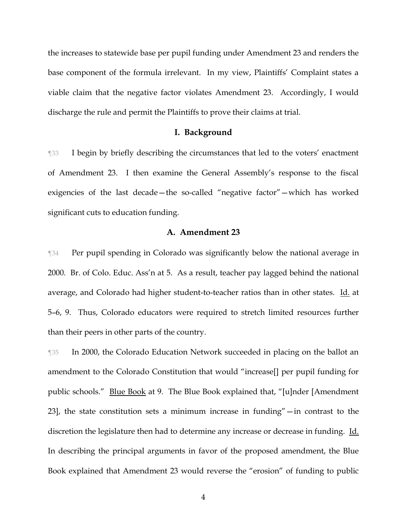the increases to statewide base per pupil funding under Amendment 23 and renders the base component of the formula irrelevant. In my view, Plaintiffs' Complaint states a viable claim that the negative factor violates Amendment 23. Accordingly, I would discharge the rule and permit the Plaintiffs to prove their claims at trial.

#### **I. Background**

¶33 I begin by briefly describing the circumstances that led to the voters' enactment of Amendment 23. I then examine the General Assembly's response to the fiscal exigencies of the last decade—the so-called "negative factor"—which has worked significant cuts to education funding.

## **A. Amendment 23**

¶34 Per pupil spending in Colorado was significantly below the national average in 2000. Br. of Colo. Educ. Ass'n at 5. As a result, teacher pay lagged behind the national average, and Colorado had higher student-to-teacher ratios than in other states. Id. at 5–6, 9. Thus, Colorado educators were required to stretch limited resources further than their peers in other parts of the country.

¶35 In 2000, the Colorado Education Network succeeded in placing on the ballot an amendment to the Colorado Constitution that would "increase[] per pupil funding for public schools." Blue Book at 9. The Blue Book explained that, "[u]nder [Amendment 23], the state constitution sets a minimum increase in funding"—in contrast to the discretion the legislature then had to determine any increase or decrease in funding. Id. In describing the principal arguments in favor of the proposed amendment, the Blue Book explained that Amendment 23 would reverse the "erosion" of funding to public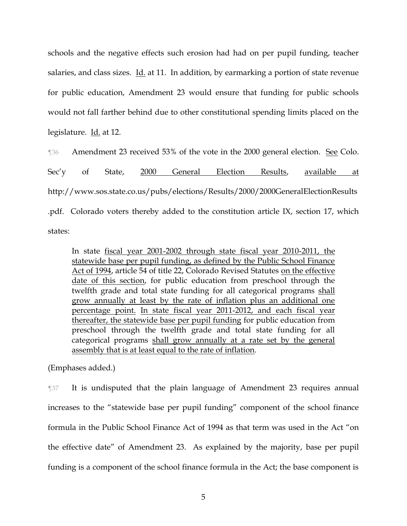schools and the negative effects such erosion had had on per pupil funding, teacher salaries, and class sizes. Id. at 11. In addition, by earmarking a portion of state revenue for public education, Amendment 23 would ensure that funding for public schools would not fall farther behind due to other constitutional spending limits placed on the legislature. Id. at 12.

¶36 Amendment 23 received 53% of the vote in the 2000 general election. See Colo. Sec'y of State, <u>2000 General Election Results</u>, <u>available at</u> http://www.sos.state.co.us/pubs/elections/Results/2000/2000GeneralElectionResults .pdf. Colorado voters thereby added to the constitution article IX, section 17, which states:

In state fiscal year 2001-2002 through state fiscal year 2010-2011, the statewide base per pupil funding, as defined by the Public School Finance Act of 1994, article 54 of title 22, Colorado Revised Statutes on the effective date of this section, for public education from preschool through the twelfth grade and total state funding for all categorical programs shall grow annually at least by the rate of inflation plus an additional one percentage point. In state fiscal year 2011-2012, and each fiscal year thereafter, the statewide base per pupil funding for public education from preschool through the twelfth grade and total state funding for all categorical programs shall grow annually at a rate set by the general assembly that is at least equal to the rate of inflation.

(Emphases added.)

¶37 It is undisputed that the plain language of Amendment 23 requires annual increases to the "statewide base per pupil funding" component of the school finance formula in the Public School Finance Act of 1994 as that term was used in the Act "on the effective date" of Amendment 23. As explained by the majority, base per pupil funding is a component of the school finance formula in the Act; the base component is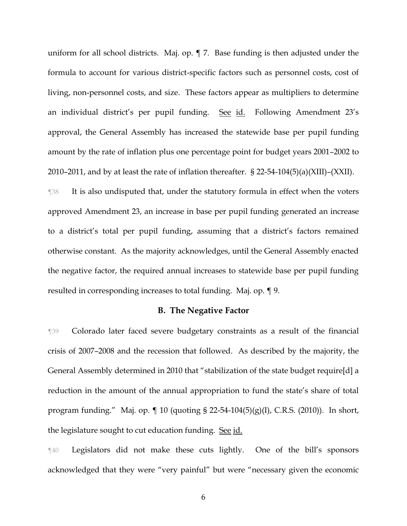uniform for all school districts. Maj. op. ¶ 7. Base funding is then adjusted under the formula to account for various district-specific factors such as personnel costs, cost of living, non-personnel costs, and size. These factors appear as multipliers to determine an individual district's per pupil funding. See id. Following Amendment 23's approval, the General Assembly has increased the statewide base per pupil funding amount by the rate of inflation plus one percentage point for budget years 2001–2002 to 2010–2011, and by at least the rate of inflation thereafter. § 22-54-104(5)(a)(XIII)–(XXII).

¶38 It is also undisputed that, under the statutory formula in effect when the voters approved Amendment 23, an increase in base per pupil funding generated an increase to a district's total per pupil funding, assuming that a district's factors remained otherwise constant. As the majority acknowledges, until the General Assembly enacted the negative factor, the required annual increases to statewide base per pupil funding resulted in corresponding increases to total funding. Maj. op. ¶ 9.

### **B. The Negative Factor**

¶39 Colorado later faced severe budgetary constraints as a result of the financial crisis of 2007–2008 and the recession that followed. As described by the majority, the General Assembly determined in 2010 that "stabilization of the state budget require[d] a reduction in the amount of the annual appropriation to fund the state's share of total program funding." Maj. op. ¶ 10 (quoting § 22-54-104(5)(g)(I), C.R.S. (2010)). In short, the legislature sought to cut education funding. See id.

¶40 Legislators did not make these cuts lightly. One of the bill's sponsors acknowledged that they were "very painful" but were "necessary given the economic

6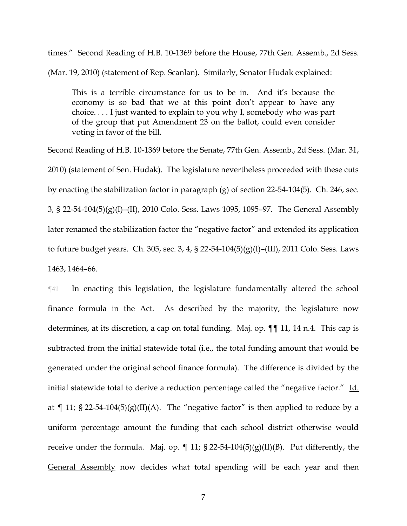times." Second Reading of H.B. 10-1369 before the House, 77th Gen. Assemb., 2d Sess. (Mar. 19, 2010) (statement of Rep. Scanlan). Similarly, Senator Hudak explained:

This is a terrible circumstance for us to be in. And it's because the economy is so bad that we at this point don't appear to have any choice. . . . I just wanted to explain to you why I, somebody who was part of the group that put Amendment 23 on the ballot, could even consider voting in favor of the bill.

Second Reading of H.B. 10-1369 before the Senate, 77th Gen. Assemb., 2d Sess. (Mar. 31, 2010) (statement of Sen. Hudak). The legislature nevertheless proceeded with these cuts by enacting the stabilization factor in paragraph (g) of section 22-54-104(5). Ch. 246, sec. 3, § 22-54-104(5)(g)(I)–(II), 2010 Colo. Sess. Laws 1095, 1095–97. The General Assembly later renamed the stabilization factor the "negative factor" and extended its application to future budget years. Ch. 305, sec. 3, 4, § 22-54-104(5)(g)(I)–(III), 2011 Colo. Sess. Laws 1463, 1464–66.

¶41 In enacting this legislation, the legislature fundamentally altered the school finance formula in the Act. As described by the majority, the legislature now determines, at its discretion, a cap on total funding. Maj. op. ¶¶ 11, 14 n.4. This cap is subtracted from the initial statewide total (i.e., the total funding amount that would be generated under the original school finance formula). The difference is divided by the initial statewide total to derive a reduction percentage called the "negative factor." Id. at  $\P$  11; § 22-54-104(5)(g)(II)(A). The "negative factor" is then applied to reduce by a uniform percentage amount the funding that each school district otherwise would receive under the formula. Maj. op.  $\parallel$  11; § 22-54-104(5)(g)(II)(B). Put differently, the General Assembly now decides what total spending will be each year and then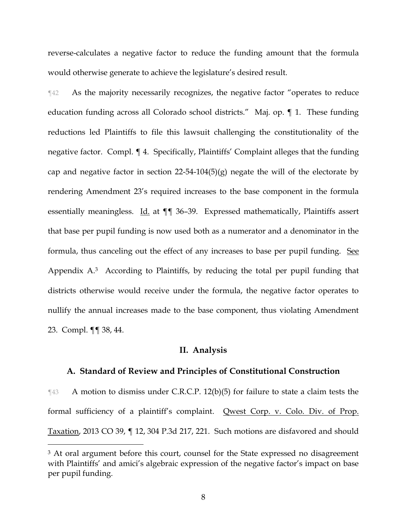reverse-calculates a negative factor to reduce the funding amount that the formula would otherwise generate to achieve the legislature's desired result.

¶42 As the majority necessarily recognizes, the negative factor "operates to reduce education funding across all Colorado school districts." Maj. op. ¶ 1. These funding reductions led Plaintiffs to file this lawsuit challenging the constitutionality of the negative factor. Compl. ¶ 4. Specifically, Plaintiffs' Complaint alleges that the funding cap and negative factor in section  $22-54-104(5)(g)$  negate the will of the electorate by rendering Amendment 23's required increases to the base component in the formula essentially meaningless. Id. at  $\P$  36–39. Expressed mathematically, Plaintiffs assert that base per pupil funding is now used both as a numerator and a denominator in the formula, thus canceling out the effect of any increases to base per pupil funding. See Appendix A.3 According to Plaintiffs, by reducing the total per pupil funding that districts otherwise would receive under the formula, the negative factor operates to nullify the annual increases made to the base component, thus violating Amendment 23. Compl. ¶¶ 38, 44.

### **II. Analysis**

### **A. Standard of Review and Principles of Constitutional Construction**

¶43 A motion to dismiss under C.R.C.P. 12(b)(5) for failure to state a claim tests the formal sufficiency of a plaintiff's complaint. Qwest Corp. v. Colo. Div. of Prop. Taxation, 2013 CO 39, ¶ 12, 304 P.3d 217, 221. Such motions are disfavored and should

<sup>&</sup>lt;sup>3</sup> At oral argument before this court, counsel for the State expressed no disagreement with Plaintiffs' and amici's algebraic expression of the negative factor's impact on base per pupil funding.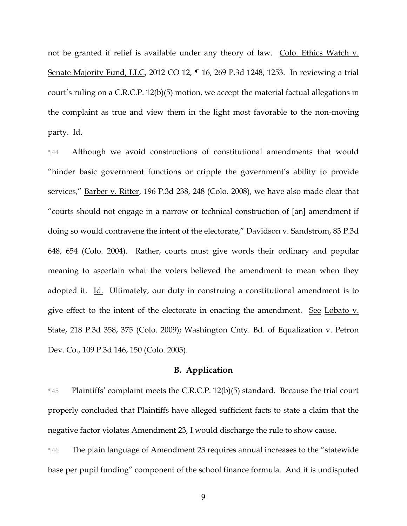not be granted if relief is available under any theory of law. Colo. Ethics Watch v. Senate Majority Fund, LLC, 2012 CO 12, ¶ 16, 269 P.3d 1248, 1253. In reviewing a trial court's ruling on a C.R.C.P. 12(b)(5) motion, we accept the material factual allegations in the complaint as true and view them in the light most favorable to the non-moving party. Id.

¶44 Although we avoid constructions of constitutional amendments that would "hinder basic government functions or cripple the government's ability to provide services," Barber v. Ritter, 196 P.3d 238, 248 (Colo. 2008), we have also made clear that "courts should not engage in a narrow or technical construction of [an] amendment if doing so would contravene the intent of the electorate," Davidson v. Sandstrom, 83 P.3d 648, 654 (Colo. 2004). Rather, courts must give words their ordinary and popular meaning to ascertain what the voters believed the amendment to mean when they adopted it. Id. Ultimately, our duty in construing a constitutional amendment is to give effect to the intent of the electorate in enacting the amendment. See Lobato v. State, 218 P.3d 358, 375 (Colo. 2009); Washington Cnty. Bd. of Equalization v. Petron Dev. Co., 109 P.3d 146, 150 (Colo. 2005).

## **B. Application**

¶45 Plaintiffs' complaint meets the C.R.C.P. 12(b)(5) standard. Because the trial court properly concluded that Plaintiffs have alleged sufficient facts to state a claim that the negative factor violates Amendment 23, I would discharge the rule to show cause.

¶46 The plain language of Amendment 23 requires annual increases to the "statewide base per pupil funding" component of the school finance formula. And it is undisputed

9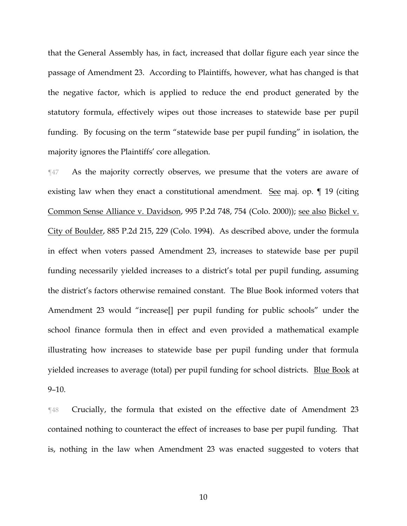that the General Assembly has, in fact, increased that dollar figure each year since the passage of Amendment 23. According to Plaintiffs, however, what has changed is that the negative factor, which is applied to reduce the end product generated by the statutory formula, effectively wipes out those increases to statewide base per pupil funding. By focusing on the term "statewide base per pupil funding" in isolation, the majority ignores the Plaintiffs' core allegation.

¶47 As the majority correctly observes, we presume that the voters are aware of existing law when they enact a constitutional amendment. See maj. op. ¶ 19 (citing Common Sense Alliance v. Davidson, 995 P.2d 748, 754 (Colo. 2000)); see also Bickel v. City of Boulder, 885 P.2d 215, 229 (Colo. 1994). As described above, under the formula in effect when voters passed Amendment 23, increases to statewide base per pupil funding necessarily yielded increases to a district's total per pupil funding, assuming the district's factors otherwise remained constant. The Blue Book informed voters that Amendment 23 would "increase[] per pupil funding for public schools" under the school finance formula then in effect and even provided a mathematical example illustrating how increases to statewide base per pupil funding under that formula yielded increases to average (total) per pupil funding for school districts. Blue Book at  $9-10.$ 

¶48 Crucially, the formula that existed on the effective date of Amendment 23 contained nothing to counteract the effect of increases to base per pupil funding. That is, nothing in the law when Amendment 23 was enacted suggested to voters that

10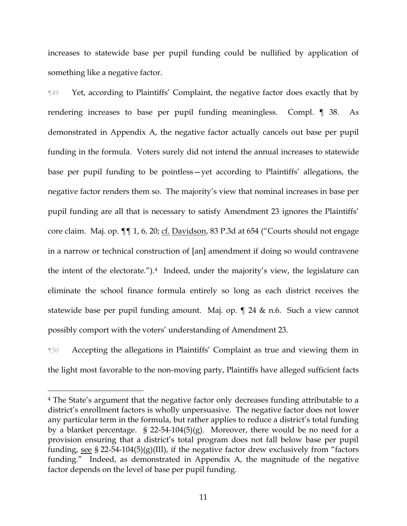increases to statewide base per pupil funding could be nullified by application of something like a negative factor.

¶49 Yet, according to Plaintiffs' Complaint, the negative factor does exactly that by rendering increases to base per pupil funding meaningless. Compl. ¶ 38. As demonstrated in Appendix A, the negative factor actually cancels out base per pupil funding in the formula. Voters surely did not intend the annual increases to statewide base per pupil funding to be pointless—yet according to Plaintiffs' allegations, the negative factor renders them so. The majority's view that nominal increases in base per pupil funding are all that is necessary to satisfy Amendment 23 ignores the Plaintiffs' core claim. Maj. op. ¶¶ 1, 6, 20; cf. Davidson, 83 P.3d at 654 ("Courts should not engage in a narrow or technical construction of [an] amendment if doing so would contravene the intent of the electorate.").<sup>4</sup> Indeed, under the majority's view, the legislature can eliminate the school finance formula entirely so long as each district receives the statewide base per pupil funding amount. Maj. op. ¶ 24 & n.6. Such a view cannot possibly comport with the voters' understanding of Amendment 23.

¶50 Accepting the allegations in Plaintiffs' Complaint as true and viewing them in the light most favorable to the non-moving party, Plaintiffs have alleged sufficient facts

<sup>4</sup> The State's argument that the negative factor only decreases funding attributable to a district's enrollment factors is wholly unpersuasive. The negative factor does not lower any particular term in the formula, but rather applies to reduce a district's total funding by a blanket percentage. § 22-54-104(5)(g). Moreover, there would be no need for a provision ensuring that a district's total program does not fall below base per pupil funding, see § 22-54-104(5)(g)(III), if the negative factor drew exclusively from "factors funding." Indeed, as demonstrated in Appendix A, the magnitude of the negative factor depends on the level of base per pupil funding.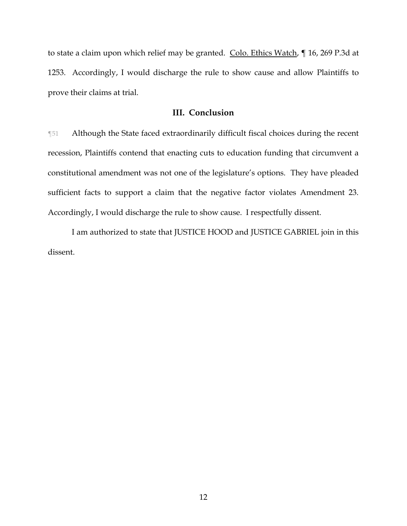to state a claim upon which relief may be granted. Colo. Ethics Watch, ¶ 16, 269 P.3d at 1253. Accordingly, I would discharge the rule to show cause and allow Plaintiffs to prove their claims at trial.

## **III. Conclusion**

¶51 Although the State faced extraordinarily difficult fiscal choices during the recent recession, Plaintiffs contend that enacting cuts to education funding that circumvent a constitutional amendment was not one of the legislature's options. They have pleaded sufficient facts to support a claim that the negative factor violates Amendment 23. Accordingly, I would discharge the rule to show cause. I respectfully dissent.

I am authorized to state that JUSTICE HOOD and JUSTICE GABRIEL join in this dissent.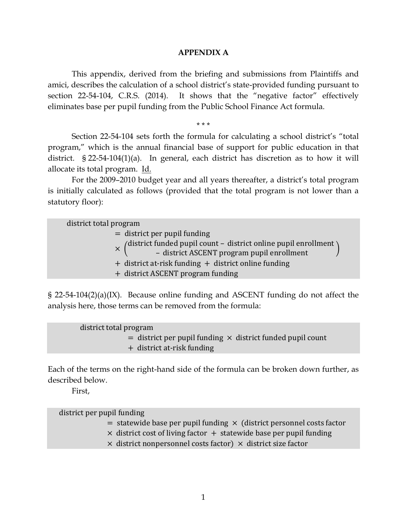### **APPENDIX A**

This appendix, derived from the briefing and submissions from Plaintiffs and amici, describes the calculation of a school district's state-provided funding pursuant to section 22-54-104, C.R.S. (2014). It shows that the "negative factor" effectively eliminates base per pupil funding from the Public School Finance Act formula.

\* \* \*

Section 22-54-104 sets forth the formula for calculating a school district's "total program," which is the annual financial base of support for public education in that district. § 22-54-104(1)(a). In general, each district has discretion as to how it will allocate its total program. Id.

For the 2009–2010 budget year and all years thereafter, a district's total program is initially calculated as follows (provided that the total program is not lower than a statutory floor):

district total program = district per pupil funding × ( district funded pupil count – district online pupil enrollment – district ASCENT program pupil enrollment ) + district at-risk funding + district online funding + district ASCENT program funding

§ 22-54-104(2)(a)(IX). Because online funding and ASCENT funding do not affect the analysis here, those terms can be removed from the formula:

\n district total program  
\n = district per pupil funding 
$$
\times
$$
 district funded pupil count  
\n + district at-risk funding\n

Each of the terms on the right-hand side of the formula can be broken down further, as described below.

First,

district per pupil funding

- $=$  statewide base per pupil funding  $\times$  (district personnel costs factor
- $\times$  district cost of living factor  $+$  statewide base per pupil funding
- $\times$  district nonpersonnel costs factor)  $\times$  district size factor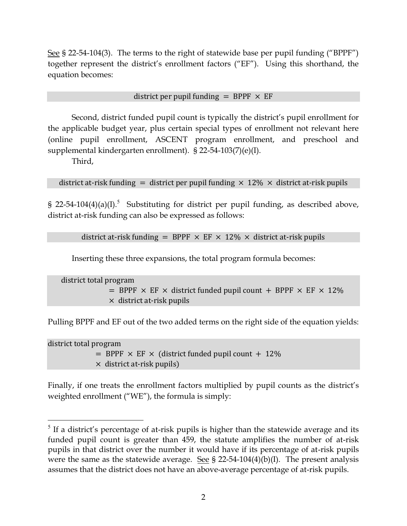See § 22-54-104(3). The terms to the right of statewide base per pupil funding ("BPPF") together represent the district's enrollment factors ("EF"). Using this shorthand, the equation becomes:

# district per pupil funding = BPPF  $\times$  EF

Second, district funded pupil count is typically the district's pupil enrollment for the applicable budget year, plus certain special types of enrollment not relevant here (online pupil enrollment, ASCENT program enrollment, and preschool and supplemental kindergarten enrollment). § 22-54-103(7)(e)(I).

Third,

 $\overline{a}$ 

district at-risk funding = district per pupil funding  $\times$  12%  $\times$  district at-risk pupils

§ 22-54-104(4)(a)(I).<sup>5</sup> Substituting for district per pupil funding, as described above, district at-risk funding can also be expressed as follows:

district at-risk funding = BPPF  $\times$  EF  $\times$  12%  $\times$  district at-risk pupils

Inserting these three expansions, the total program formula becomes:

district total program  $=$  BPPF  $\times$  EF  $\times$  district funded pupil count + BPPF  $\times$  EF  $\times$  12%  $\times$  district at-risk pupils

Pulling BPPF and EF out of the two added terms on the right side of the equation yields:

district total program  $=$  BPPF  $\times$  EF  $\times$  (district funded pupil count + 12%)  $\times$  district at-risk pupils)

Finally, if one treats the enrollment factors multiplied by pupil counts as the district's weighted enrollment ("WE"), the formula is simply:

 $<sup>5</sup>$  If a district's percentage of at-risk pupils is higher than the statewide average and its</sup> funded pupil count is greater than 459, the statute amplifies the number of at-risk pupils in that district over the number it would have if its percentage of at-risk pupils were the same as the statewide average. See  $\S$  22-54-104(4)(b)(I). The present analysis assumes that the district does not have an above-average percentage of at-risk pupils.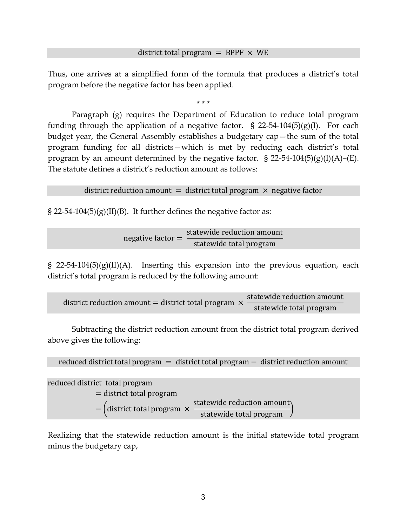## district total program = BPPF  $\times$  WE

Thus, one arrives at a simplified form of the formula that produces a district's total program before the negative factor has been applied.

\* \* \*

Paragraph (g) requires the Department of Education to reduce total program funding through the application of a negative factor. § 22-54-104(5)(g)(I). For each budget year, the General Assembly establishes a budgetary cap—the sum of the total program funding for all districts—which is met by reducing each district's total program by an amount determined by the negative factor. § 22-54-104(5)(g)(I)(A)–(E). The statute defines a district's reduction amount as follows:

district reduction amount  $=$  district total program  $\times$  negative factor

 $\S 22-54-104(5)(g)(II)(B)$ . It further defines the negative factor as:

$$
negative factor = \frac{statewide reduction amount}{statewide total program}
$$

§ 22-54-104(5)(g)(II)(A). Inserting this expansion into the previous equation, each district's total program is reduced by the following amount:

district reduction amount = district total program  $\times$ statewide reduction amount statewide total program

Subtracting the district reduction amount from the district total program derived above gives the following:

```
reduced district total program = district total program − district reduction amount
```
reduced district total program

= district total program

− (district total program × statewide reduction amount statewide total program

Realizing that the statewide reduction amount is the initial statewide total program minus the budgetary cap,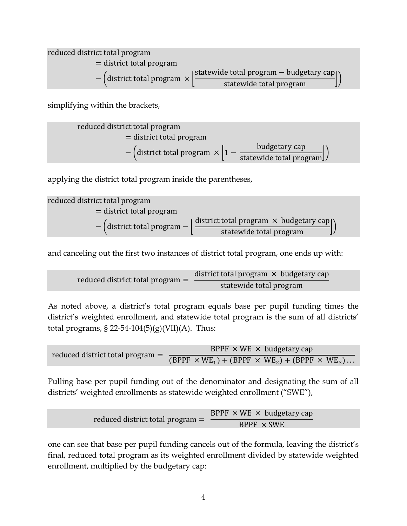reduced district total program = district total program  $-$  (district total program  $\times$ statewide total program − budgetary cap statewide total program

simplifying within the brackets,

reduced district total program  
= district total program  
– (distinct total program 
$$
\times \left[1 - \frac{\text{budgetary cap}}{\text{statewide total program}}\right])
$$

applying the district total program inside the parentheses,

reduced district total program  
= district total program  
– (district total program – 
$$
\left[ \frac{\text{distinct total program} \times \text{budgetary cap}}{\text{statewide total program}} \right])
$$

and canceling out the first two instances of district total program, one ends up with:

reduced district total program = 
$$
\frac{\text{distinct total program} \times \text{budgetary cap}}{\text{statewide total program}}
$$

As noted above, a district's total program equals base per pupil funding times the district's weighted enrollment, and statewide total program is the sum of all districts' total programs, § 22-54-104 $(5)(g)(VII)(A)$ . Thus:

$$
FPPF \times WE \times budgetary cap
$$
  
reduced district total program = 
$$
\frac{BPPF \times WE \times budgetary cap}{(BPPF \times WE_1) + (BPPF \times WE_2) + (BPPF \times WE_3)...}
$$

Pulling base per pupil funding out of the denominator and designating the sum of all districts' weighted enrollments as statewide weighted enrollment ("SWE"),

reduced district total program = 
$$
\frac{BPPF \times WE \times budgetary cap}{BPPF \times SWE}
$$

one can see that base per pupil funding cancels out of the formula, leaving the district's final, reduced total program as its weighted enrollment divided by statewide weighted enrollment, multiplied by the budgetary cap: